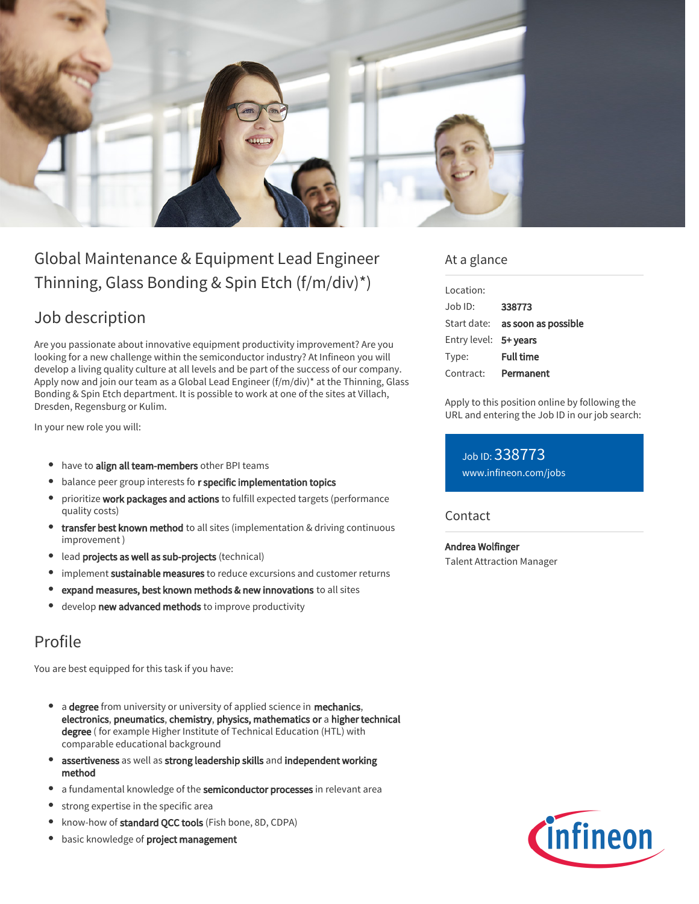

# Global Maintenance & Equipment Lead Engineer Thinning, Glass Bonding & Spin Etch (f/m/div)\*)

### Job description

Are you passionate about innovative equipment productivity improvement? Are you looking for a new challenge within the semiconductor industry? At Infineon you will develop a living quality culture at all levels and be part of the success of our company. Apply now and join our team as a Global Lead Engineer (f/m/div)\* at the Thinning, Glass Bonding & Spin Etch department. It is possible to work at one of the sites at Villach, Dresden, Regensburg or Kulim.

In your new role you will:

- have to align all team-members other BPI teams
- balance peer group interests fo r specific implementation topics
- prioritize work packages and actions to fulfill expected targets (performance quality costs)
- **transfer best known method** to all sites (implementation & driving continuous improvement )
- **•** lead projects as well as sub-projects (technical)
- implement sustainable measures to reduce excursions and customer returns ٠
- expand measures, best known methods & new innovations to all sites
- develop new advanced methods to improve productivity

## Profile

You are best equipped for this task if you have:

- a degree from university or university of applied science in mechanics, electronics, pneumatics, chemistry, physics, mathematics or a higher technical degree ( for example Higher Institute of Technical Education (HTL) with comparable educational background
- assertiveness as well as strong leadership skills and independent working method
- a fundamental knowledge of the semiconductor processes in relevant area
- strong expertise in the specific area
- know-how of standard QCC tools (Fish bone, 8D, CDPA)
- $\bullet$ basic knowledge of project management

### At a glance

| Location:             |                                 |
|-----------------------|---------------------------------|
| Job ID:               | 338773                          |
|                       | Start date: as soon as possible |
| Entry level: 5+ years |                                 |
| Type:                 | <b>Full time</b>                |
| Contract:             | Permanent                       |

Apply to this position online by following the URL and entering the Job ID in our job search:

Job ID: 338773 [www.infineon.com/jobs](https://www.infineon.com/jobs)

Contact

Andrea Wolfinger

Talent Attraction Manager